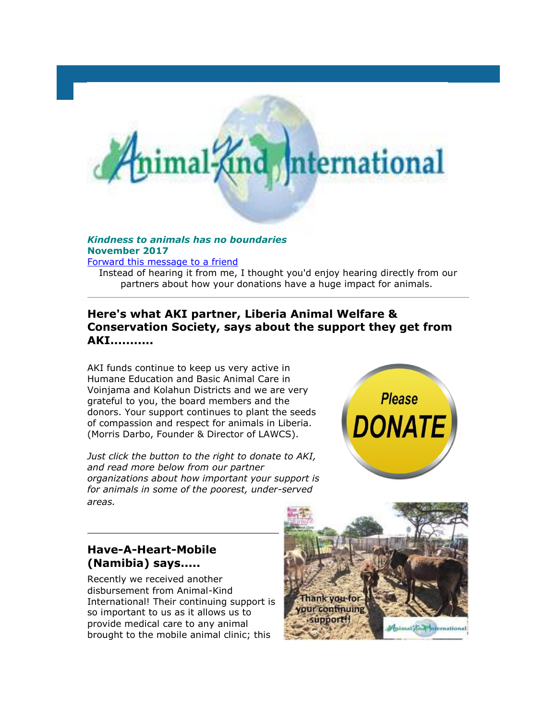# and. ternational

#### *Kindness to animals has no boundaries* **November 2017**

[Forward this message to a friend](http://oi.vresp.com/f2af/v4/send_to_friend.html?ch=c7c2460490&lid=284351439&ldh=4d75da415c)

Instead of hearing it from me, I thought you'd enjoy hearing directly from our partners about how your donations have a huge impact for animals.

## **Here's what AKI partner, Liberia Animal Welfare & Conservation Society, says about the support they get from AKI...........**

AKI funds continue to keep us very active in Humane Education and Basic Animal Care in Voinjama and Kolahun Districts and we are very grateful to you, the board members and the donors. Your support continues to plant the seeds of compassion and respect for animals in Liberia. (Morris Darbo, Founder & Director of LAWCS).

*Just click the button to the right to donate to AKI, and read more below from our partner organizations about how important your support is for animals in some of the poorest, under-served areas.*



#### **Have-A-Heart-Mobile (Namibia) says.....**

Recently we received another disbursement from Animal-Kind International! Their continuing support is so important to us as it allows us to provide medical care to any animal brought to the mobile animal clinic; this

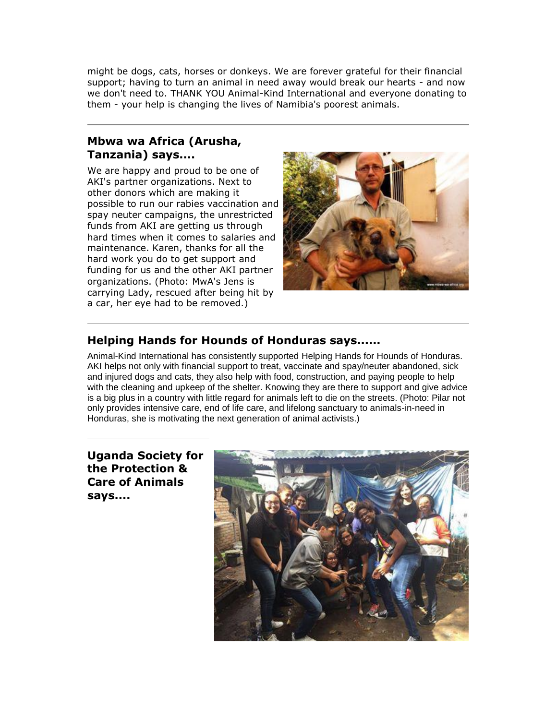might be dogs, cats, horses or donkeys. We are forever grateful for their financial support; having to turn an animal in need away would break our hearts - and now we don't need to. THANK YOU Animal-Kind International and everyone donating to them - your help is changing the lives of Namibia's poorest animals.

## **Mbwa wa Africa (Arusha, Tanzania) says....**

We are happy and proud to be one of AKI's partner organizations. Next to other donors which are making it possible to run our rabies vaccination and spay neuter campaigns, the unrestricted funds from AKI are getting us through hard times when it comes to salaries and maintenance. Karen, thanks for all the hard work you do to get support and funding for us and the other AKI partner organizations. (Photo: MwA's Jens is carrying Lady, rescued after being hit by a car, her eye had to be removed.)



#### **Helping Hands for Hounds of Honduras says......**

Animal-Kind International has consistently supported Helping Hands for Hounds of Honduras. AKI helps not only with financial support to treat, vaccinate and spay/neuter abandoned, sick and injured dogs and cats, they also help with food, construction, and paying people to help with the cleaning and upkeep of the shelter. Knowing they are there to support and give advice is a big plus in a country with little regard for animals left to die on the streets. (Photo: Pilar not only provides intensive care, end of life care, and lifelong sanctuary to animals-in-need in Honduras, she is motivating the next generation of animal activists.)

**Uganda Society for the Protection & Care of Animals says....**

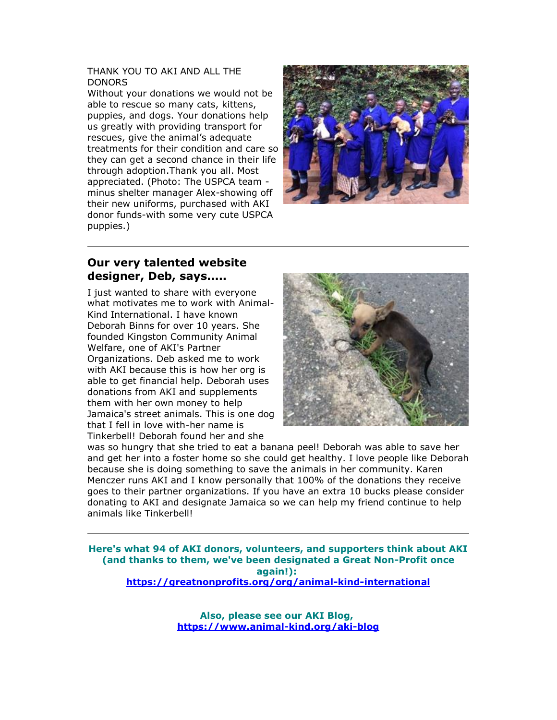#### THANK YOU TO AKI AND ALL THE DONORS

Without your donations we would not be able to rescue so many cats, kittens, puppies, and dogs. Your donations help us greatly with providing transport for rescues, give the animal's adequate treatments for their condition and care so they can get a second chance in their life through adoption.Thank you all. Most appreciated. (Photo: The USPCA team minus shelter manager Alex-showing off their new uniforms, purchased with AKI donor funds-with some very cute USPCA puppies.)



#### **Our very talented website designer, Deb, says.....**

I just wanted to share with everyone what motivates me to work with Animal-Kind International. I have known Deborah Binns for over 10 years. She founded Kingston Community Animal Welfare, one of AKI's Partner Organizations. Deb asked me to work with AKI because this is how her org is able to get financial help. Deborah uses donations from AKI and supplements them with her own money to help Jamaica's street animals. This is one dog that I fell in love with-her name is Tinkerbell! Deborah found her and she



was so hungry that she tried to eat a banana peel! Deborah was able to save her and get her into a foster home so she could get healthy. I love people like Deborah because she is doing something to save the animals in her community. Karen Menczer runs AKI and I know personally that 100% of the donations they receive goes to their partner organizations. If you have an extra 10 bucks please consider donating to AKI and designate Jamaica so we can help my friend continue to help animals like Tinkerbell!

**Here's what 94 of AKI donors, volunteers, and supporters think about AKI (and thanks to them, we've been designated a Great Non-Profit once again!): [https://greatnonprofits.org/org/animal-kind-international](http://cts.vresp.com/c/?AnimalKindInternatio/c7c2460490/4d75da415c/72ed87a0f3)**

> **Also, please see our AKI Blog, [https://www.animal-kind.org/aki-blog](http://cts.vresp.com/c/?AnimalKindInternatio/c7c2460490/4d75da415c/d3884301c5)**